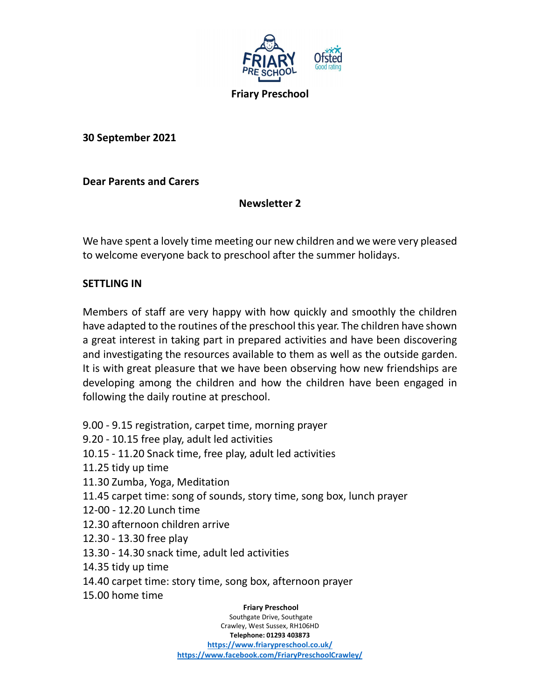

30 September 2021

# Dear Parents and Carers

# Newsletter 2

We have spent a lovely time meeting our new children and we were very pleased to welcome everyone back to preschool after the summer holidays.

# SETTLING IN

Members of staff are very happy with how quickly and smoothly the children have adapted to the routines of the preschool this year. The children have shown a great interest in taking part in prepared activities and have been discovering and investigating the resources available to them as well as the outside garden. It is with great pleasure that we have been observing how new friendships are developing among the children and how the children have been engaged in following the daily routine at preschool.

 Friary Preschool Southgate Drive, Southgate 9.00 - 9.15 registration, carpet time, morning prayer 9.20 - 10.15 free play, adult led activities 10.15 - 11.20 Snack time, free play, adult led activities 11.25 tidy up time 11.30 Zumba, Yoga, Meditation 11.45 carpet time: song of sounds, story time, song box, lunch prayer 12-00 - 12.20 Lunch time 12.30 afternoon children arrive 12.30 - 13.30 free play 13.30 - 14.30 snack time, adult led activities 14.35 tidy up time 14.40 carpet time: story time, song box, afternoon prayer 15.00 home time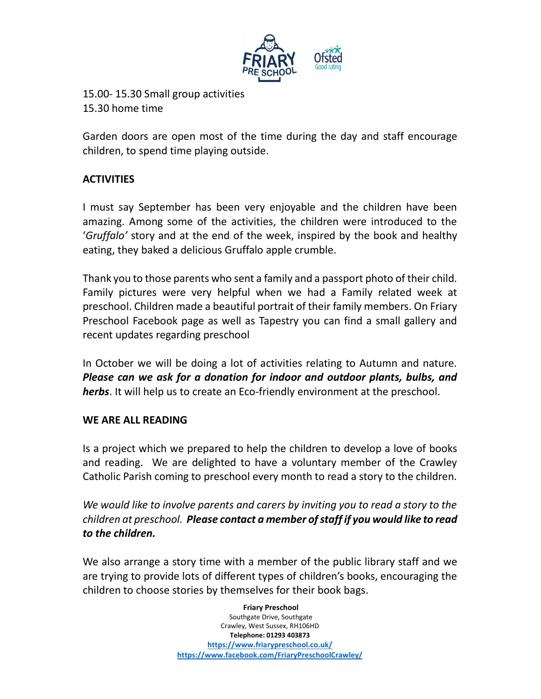

15.00- 15.30 Small group activities 15.30 home time

Garden doors are open most of the time during the day and staff encourage children, to spend time playing outside.

# **ACTIVITIES**

I must say September has been very enjoyable and the children have been amazing. Among some of the activities, the children were introduced to the 'Gruffalo' story and at the end of the week, inspired by the book and healthy eating, they baked a delicious Gruffalo apple crumble.

Thank you to those parents who sent a family and a passport photo of their child. Family pictures were very helpful when we had a Family related week at preschool. Children made a beautiful portrait of their family members. On Friary Preschool Facebook page as well as Tapestry you can find a small gallery and recent updates regarding preschool

In October we will be doing a lot of activities relating to Autumn and nature. Please can we ask for a donation for indoor and outdoor plants, bulbs, and herbs. It will help us to create an Eco-friendly environment at the preschool.

# WE ARE ALL READING

Is a project which we prepared to help the children to develop a love of books and reading. We are delighted to have a voluntary member of the Crawley Catholic Parish coming to preschool every month to read a story to the children.

We would like to involve parents and carers by inviting you to read a story to the children at preschool. Please contact a member of staff if you would like to read to the children.

We also arrange a story time with a member of the public library staff and we are trying to provide lots of different types of children's books, encouraging the children to choose stories by themselves for their book bags.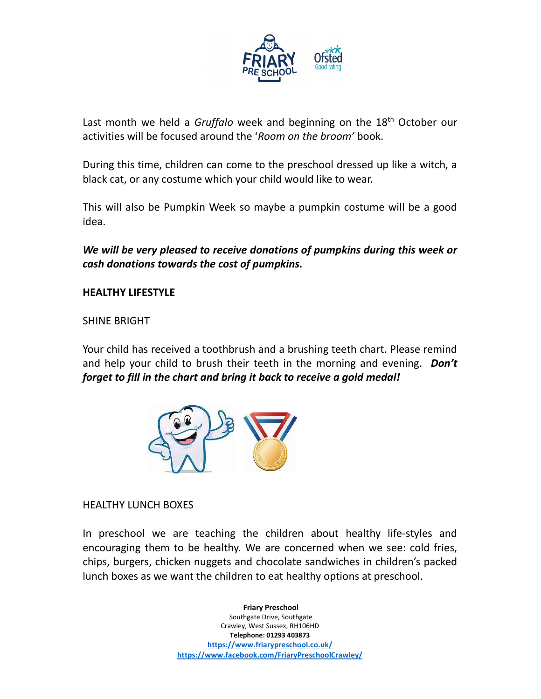

Last month we held a *Gruffalo* week and beginning on the  $18<sup>th</sup>$  October our activities will be focused around the 'Room on the broom' book.

During this time, children can come to the preschool dressed up like a witch, a black cat, or any costume which your child would like to wear.

This will also be Pumpkin Week so maybe a pumpkin costume will be a good idea.

We will be very pleased to receive donations of pumpkins during this week or cash donations towards the cost of pumpkins.

### HEALTHY LIFESTYLE

SHINE BRIGHT

Your child has received a toothbrush and a brushing teeth chart. Please remind and help your child to brush their teeth in the morning and evening. Don't forget to fill in the chart and bring it back to receive a gold medal!



#### HEALTHY LUNCH BOXES

In preschool we are teaching the children about healthy life-styles and encouraging them to be healthy. We are concerned when we see: cold fries, chips, burgers, chicken nuggets and chocolate sandwiches in children's packed lunch boxes as we want the children to eat healthy options at preschool.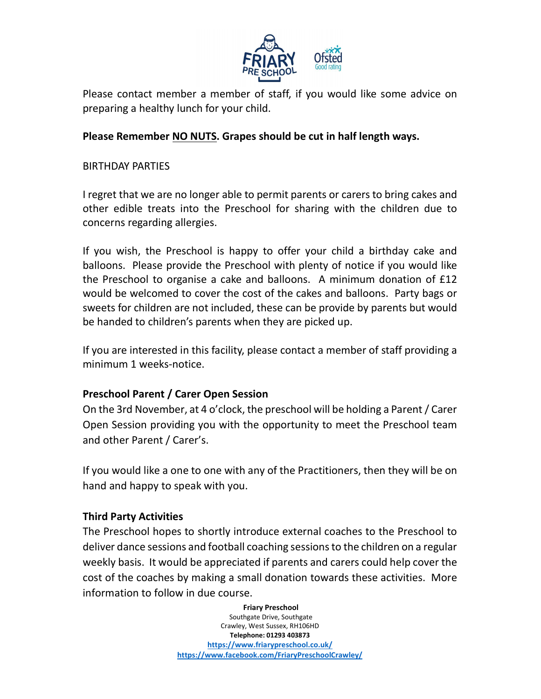

Please contact member a member of staff, if you would like some advice on preparing a healthy lunch for your child.

# Please Remember NO NUTS. Grapes should be cut in half length ways.

### BIRTHDAY PARTIES

I regret that we are no longer able to permit parents or carers to bring cakes and other edible treats into the Preschool for sharing with the children due to concerns regarding allergies.

If you wish, the Preschool is happy to offer your child a birthday cake and balloons. Please provide the Preschool with plenty of notice if you would like the Preschool to organise a cake and balloons. A minimum donation of £12 would be welcomed to cover the cost of the cakes and balloons. Party bags or sweets for children are not included, these can be provide by parents but would be handed to children's parents when they are picked up.

If you are interested in this facility, please contact a member of staff providing a minimum 1 weeks-notice.

# Preschool Parent / Carer Open Session

On the 3rd November, at 4 o'clock, the preschool will be holding a Parent / Carer Open Session providing you with the opportunity to meet the Preschool team and other Parent / Carer's.

If you would like a one to one with any of the Practitioners, then they will be on hand and happy to speak with you.

# Third Party Activities

The Preschool hopes to shortly introduce external coaches to the Preschool to deliver dance sessions and football coaching sessions to the children on a regular weekly basis. It would be appreciated if parents and carers could help cover the cost of the coaches by making a small donation towards these activities. More information to follow in due course.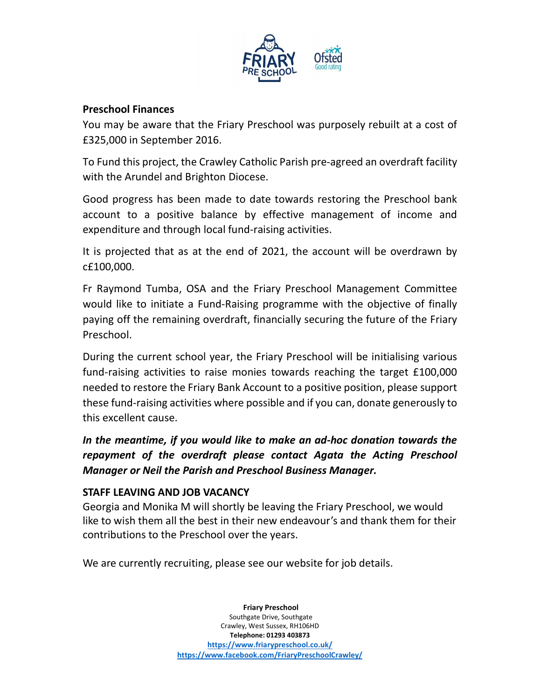

### Preschool Finances

You may be aware that the Friary Preschool was purposely rebuilt at a cost of £325,000 in September 2016.

To Fund this project, the Crawley Catholic Parish pre-agreed an overdraft facility with the Arundel and Brighton Diocese.

Good progress has been made to date towards restoring the Preschool bank account to a positive balance by effective management of income and expenditure and through local fund-raising activities.

It is projected that as at the end of 2021, the account will be overdrawn by c£100,000.

Fr Raymond Tumba, OSA and the Friary Preschool Management Committee would like to initiate a Fund-Raising programme with the objective of finally paying off the remaining overdraft, financially securing the future of the Friary Preschool.

During the current school year, the Friary Preschool will be initialising various fund-raising activities to raise monies towards reaching the target £100,000 needed to restore the Friary Bank Account to a positive position, please support these fund-raising activities where possible and if you can, donate generously to this excellent cause.

In the meantime, if you would like to make an ad-hoc donation towards the repayment of the overdraft please contact Agata the Acting Preschool Manager or Neil the Parish and Preschool Business Manager.

#### STAFF LEAVING AND JOB VACANCY

Georgia and Monika M will shortly be leaving the Friary Preschool, we would like to wish them all the best in their new endeavour's and thank them for their contributions to the Preschool over the years.

We are currently recruiting, please see our website for job details.

 Friary Preschool Southgate Drive, Southgate Crawley, West Sussex, RH106HD Telephone: 01293 403873 https://www.friarypreschool.co.uk/ https://www.facebook.com/FriaryPreschoolCrawley/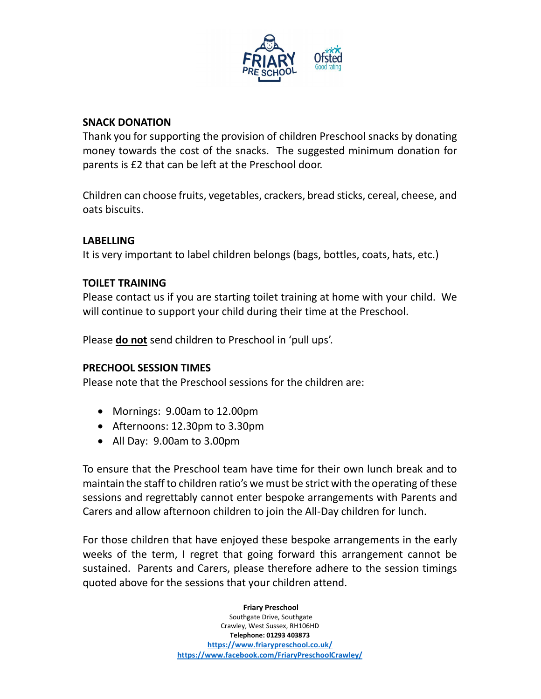

### SNACK DONATION

Thank you for supporting the provision of children Preschool snacks by donating money towards the cost of the snacks. The suggested minimum donation for parents is £2 that can be left at the Preschool door.

Children can choose fruits, vegetables, crackers, bread sticks, cereal, cheese, and oats biscuits.

### LABELLING

It is very important to label children belongs (bags, bottles, coats, hats, etc.)

### TOILET TRAINING

Please contact us if you are starting toilet training at home with your child. We will continue to support your child during their time at the Preschool.

Please **do not** send children to Preschool in 'pull ups'.

#### PRECHOOL SESSION TIMES

Please note that the Preschool sessions for the children are:

- Mornings: 9.00am to 12.00pm
- Afternoons: 12.30pm to 3.30pm
- All Day: 9.00am to 3.00pm

To ensure that the Preschool team have time for their own lunch break and to maintain the staff to children ratio's we must be strict with the operating of these sessions and regrettably cannot enter bespoke arrangements with Parents and Carers and allow afternoon children to join the All-Day children for lunch.

For those children that have enjoyed these bespoke arrangements in the early weeks of the term, I regret that going forward this arrangement cannot be sustained. Parents and Carers, please therefore adhere to the session timings quoted above for the sessions that your children attend.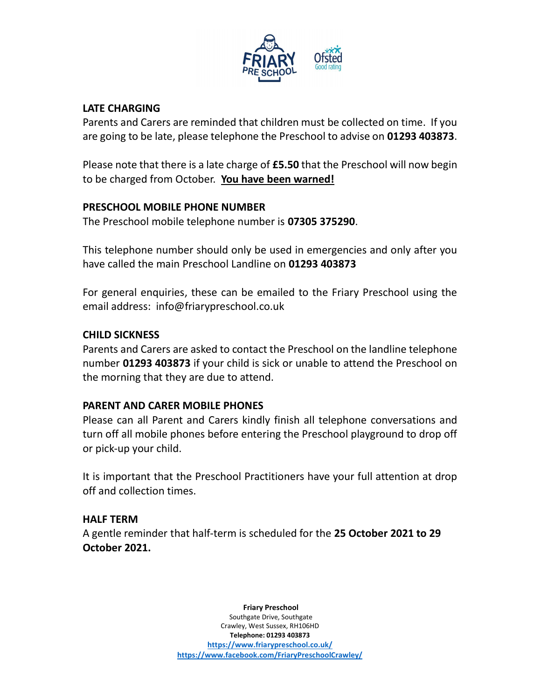

# LATE CHARGING

Parents and Carers are reminded that children must be collected on time. If you are going to be late, please telephone the Preschool to advise on 01293 403873.

Please note that there is a late charge of **£5.50** that the Preschool will now begin to be charged from October. You have been warned!

# PRESCHOOL MOBILE PHONE NUMBER

The Preschool mobile telephone number is 07305 375290.

This telephone number should only be used in emergencies and only after you have called the main Preschool Landline on 01293 403873

For general enquiries, these can be emailed to the Friary Preschool using the email address: info@friarypreschool.co.uk

# CHILD SICKNESS

Parents and Carers are asked to contact the Preschool on the landline telephone number 01293 403873 if your child is sick or unable to attend the Preschool on the morning that they are due to attend.

# PARENT AND CARER MOBILE PHONES

Please can all Parent and Carers kindly finish all telephone conversations and turn off all mobile phones before entering the Preschool playground to drop off or pick-up your child.

It is important that the Preschool Practitioners have your full attention at drop off and collection times.

# HALF TERM

A gentle reminder that half-term is scheduled for the 25 October 2021 to 29 October 2021.

> Friary Preschool Southgate Drive, Southgate Crawley, West Sussex, RH106HD Telephone: 01293 403873 https://www.friarypreschool.co.uk/ https://www.facebook.com/FriaryPreschoolCrawley/